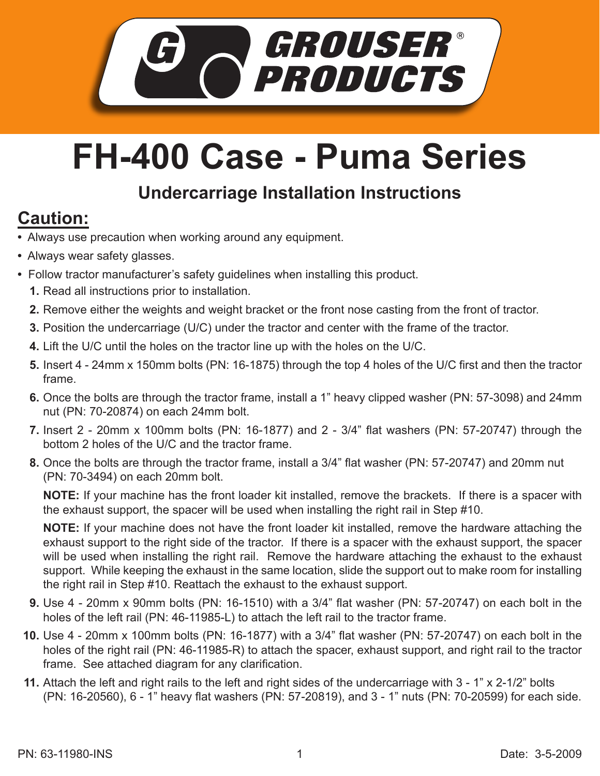

## **FH-400 Case - Puma Series**

## **Undercarriage Installation Instructions**

## **Caution:**

- Always use precaution when working around any equipment.
- Always wear safety glasses.
- Follow tractor manufacturer's safety guidelines when installing this product.
	- **1.** Read all instructions prior to installation.
	- **2.** Remove either the weights and weight bracket or the front nose casting from the front of tractor.
	- **3.** Position the undercarriage (U/C) under the tractor and center with the frame of the tractor.
	- Lift the U/C until the holes on the tractor line up with the holes on the U/C. **4.**
	- **5.** Insert 4 24mm x 150mm bolts (PN: 16-1875) through the top 4 holes of the U/C first and then the tractor frame.
	- **6.** Once the bolts are through the tractor frame, install a 1" heavy clipped washer (PN: 57-3098) and 24mm nut (PN: 70-20874) on each 24mm bolt.
	- Insert 2 20mm x 100mm bolts (PN: 16-1877) and 2 3/4" flat washers (PN: 57-20747) through the **7.** bottom 2 holes of the U/C and the tractor frame.
	- **8.** Once the bolts are through the tractor frame, install a 3/4" flat washer (PN: 57-20747) and 20mm nut (PN: 70-3494) on each 20mm bolt.

**NOTE:** If your machine has the front loader kit installed, remove the brackets. If there is a spacer with the exhaust support, the spacer will be used when installing the right rail in Step #10.

**NOTE:** If your machine does not have the front loader kit installed, remove the hardware attaching the exhaust support to the right side of the tractor. If there is a spacer with the exhaust support, the spacer will be used when installing the right rail. Remove the hardware attaching the exhaust to the exhaust support. While keeping the exhaust in the same location, slide the support out to make room for installing the right rail in Step #10. Reattach the exhaust to the exhaust support.

- Use 4 20mm x 90mm bolts (PN: 16-1510) with a 3/4" flat washer (PN: 57-20747) on each bolt in the **9.** holes of the left rail (PN: 46-11985-L) to attach the left rail to the tractor frame.
- **10.** Use 4 20mm x 100mm bolts (PN: 16-1877) with a 3/4" flat washer (PN: 57-20747) on each bolt in the holes of the right rail (PN: 46-11985-R) to attach the spacer, exhaust support, and right rail to the tractor frame. See attached diagram for any clarification.
- Attach the left and right rails to the left and right sides of the undercarriage with 3 1" x 2-1/2" bolts **11.** (PN: 16-20560), 6 - 1" heavy flat washers (PN: 57-20819), and 3 - 1" nuts (PN: 70-20599) for each side.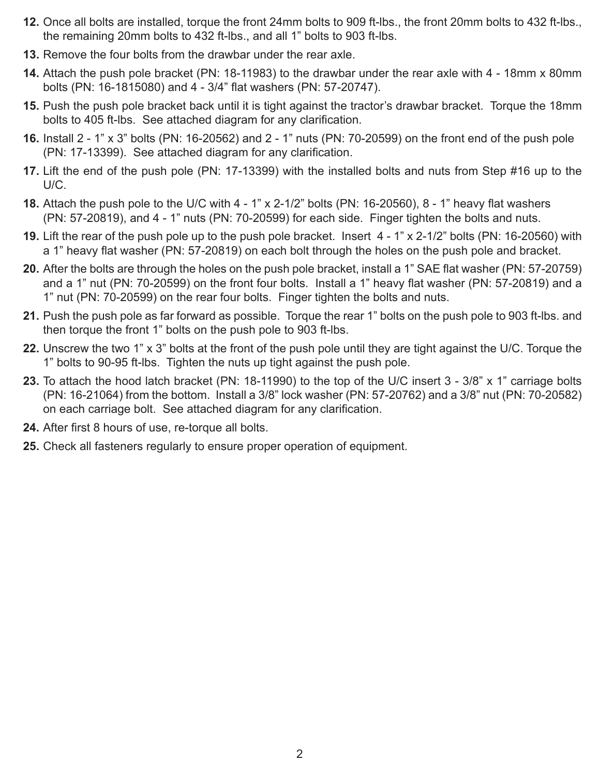- **12.** Once all bolts are installed, torque the front 24mm bolts to 909 ft-lbs., the front 20mm bolts to 432 ft-lbs., the remaining 20mm bolts to 432 ft-lbs., and all 1" bolts to 903 ft-lbs.
- **13.** Remove the four bolts from the drawbar under the rear axle.
- Attach the push pole bracket (PN: 18-11983) to the drawbar under the rear axle with 4 18mm x 80mm **14.** bolts (PN: 16-1815080) and 4 - 3/4" flat washers (PN: 57-20747).
- **15.** Push the push pole bracket back until it is tight against the tractor's drawbar bracket. Torque the 18mm bolts to 405 ft-lbs. See attached diagram for any clarification.
- **16.** Install 2 1" x 3" bolts (PN: 16-20562) and 2 1" nuts (PN: 70-20599) on the front end of the push pole (PN: 17-13399). See attached diagram for any clarification.
- **17.** Lift the end of the push pole (PN: 17-13399) with the installed bolts and nuts from Step #16 up to the U/C.
- Attach the push pole to the U/C with 4 1" x 2-1/2" bolts (PN: 16-20560), 8 1" heavy flat washers **18.** (PN: 57-20819), and 4 - 1" nuts (PN: 70-20599) for each side. Finger tighten the bolts and nuts.
- **19.** Lift the rear of the push pole up to the push pole bracket. Insert 4 1" x 2-1/2" bolts (PN: 16-20560) with a 1" heavy flat washer (PN: 57-20819) on each bolt through the holes on the push pole and bracket.
- After the bolts are through the holes on the push pole bracket, install a 1" SAE flat washer (PN: 57-20759) **20.** and a 1" nut (PN: 70-20599) on the front four bolts. Install a 1" heavy flat washer (PN: 57-20819) and a 1" nut (PN: 70-20599) on the rear four bolts. Finger tighten the bolts and nuts.
- Push the push pole as far forward as possible. Torque the rear 1" bolts on the push pole to 903 ft-lbs. and **21.** then torque the front 1" bolts on the push pole to 903 ft-lbs.
- Unscrew the two 1" x 3" bolts at the front of the push pole until they are tight against the U/C. Torque the **22.** 1" bolts to 90-95 ft-lbs. Tighten the nuts up tight against the push pole.
- 23. To attach the hood latch bracket (PN: 18-11990) to the top of the U/C insert 3 3/8" x 1" carriage bolts (PN: 16-21064) from the bottom. Install a 3/8" lock washer (PN: 57-20762) and a 3/8" nut (PN: 70-20582) on each carriage bolt. See attached diagram for any clarification.
- **24.** After first 8 hours of use, re-torque all bolts.
- 25. Check all fasteners regularly to ensure proper operation of equipment.